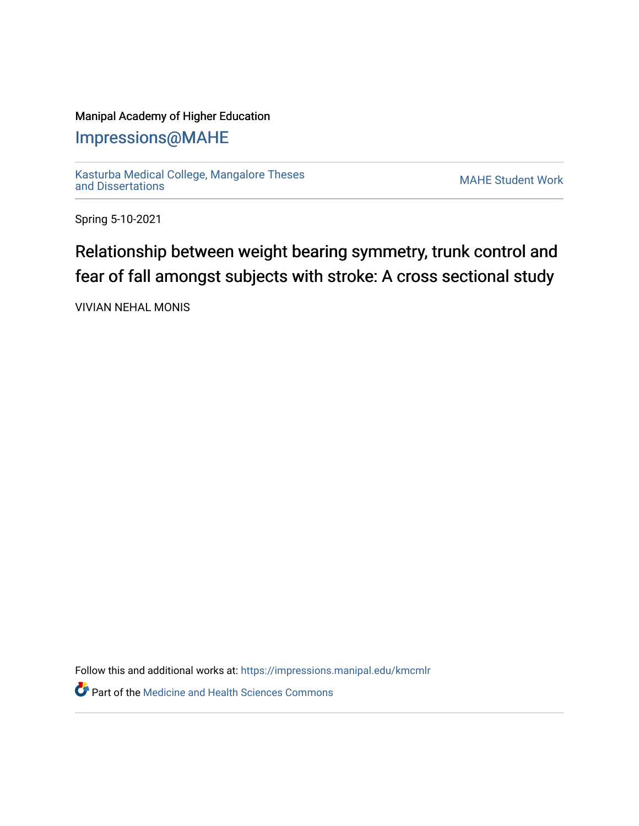## Manipal Academy of Higher Education

## [Impressions@MAHE](https://impressions.manipal.edu/)

[Kasturba Medical College, Mangalore Theses](https://impressions.manipal.edu/kmcmlr) [and Dissertations](https://impressions.manipal.edu/kmcmlr) [MAHE Student Work](https://impressions.manipal.edu/student-work) 

Spring 5-10-2021

## Relationship between weight bearing symmetry, trunk control and fear of fall amongst subjects with stroke: A cross sectional study

VIVIAN NEHAL MONIS

Follow this and additional works at: [https://impressions.manipal.edu/kmcmlr](https://impressions.manipal.edu/kmcmlr?utm_source=impressions.manipal.edu%2Fkmcmlr%2F106&utm_medium=PDF&utm_campaign=PDFCoverPages) 

**Part of the Medicine and Health Sciences Commons**